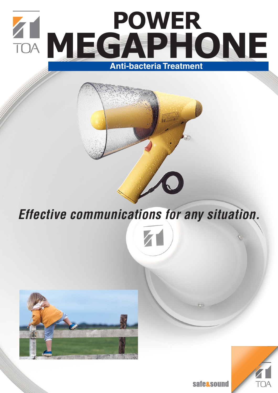

**Effective communications for any situation.**





**safe&sound**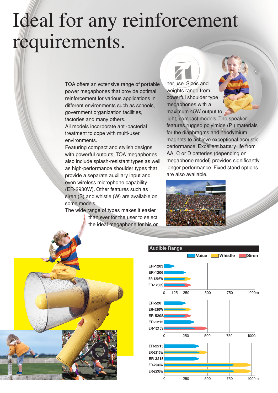## Ideal for any reinforcement requirements.

TOA offers an extensive range of portable power megaphones that provide optimal reinforcement for various applications in different environments such as schools. government organization facilities, factories and many others.

All models incorporate anti-bacterial treatment to cope with multi-user environments.

Featuring compact and stylish designs with powerful outputs, TOA megaphones also include splash-resistant types as well as high-performance shoulder types that provide a separate auxiliary input and even wireless microphone capability (ER-2930W). Other features such as siren (S) and whistle (W) are available on some models.

The wide range of types makes it easier than ever for the user to select the ideal megaphone for his or



her use. Sizes and weights range from powerful shoulder type megaphones with a maximum 45W output to

light, compact models. The speaker features rugged polyimide (PI) materials for the diaphragms and neodymium magnets to achieve exceptional acoustic performance. Excellent battery life from AA, C or D batteries (depending on megaphone model) provides significantly longer performance. Fixed stand options are also available.



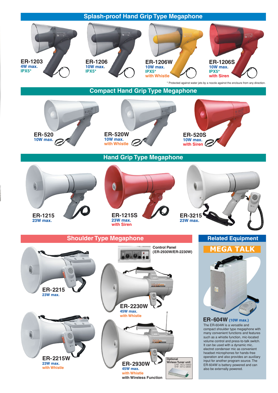